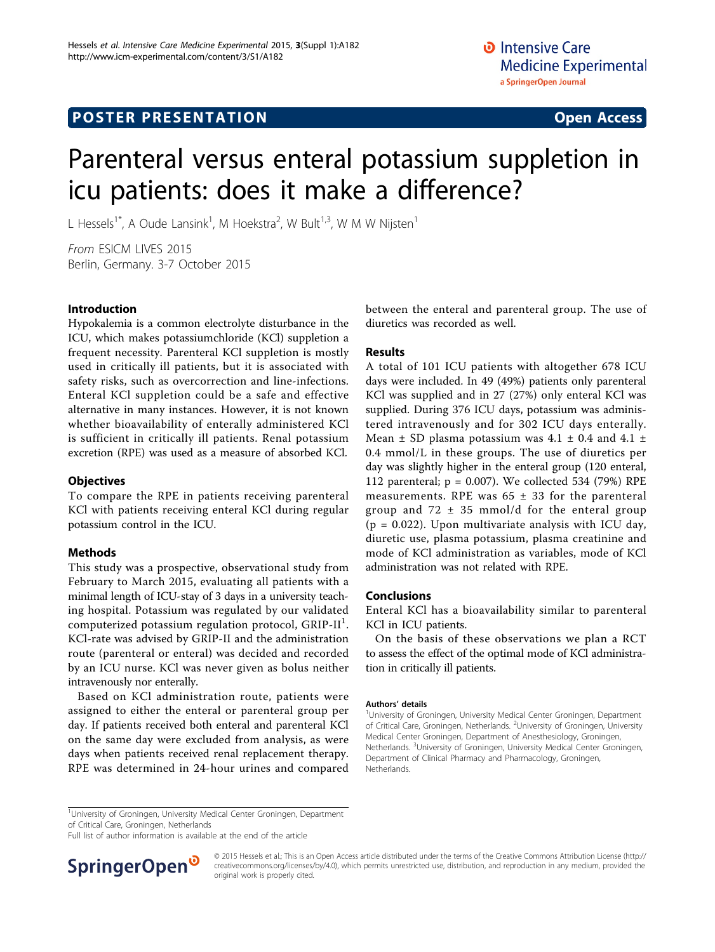# Parenteral versus enteral potassium suppletion in icu patients: does it make a difference?

L Hessels<sup>1\*</sup>, A Oude Lansink<sup>1</sup>, M Hoekstra<sup>2</sup>, W Bult<sup>1,3</sup>, W M W Nijsten<sup>1</sup>

From ESICM LIVES 2015 Berlin, Germany. 3-7 October 2015

# Introduction

Hypokalemia is a common electrolyte disturbance in the ICU, which makes potassiumchloride (KCl) suppletion a frequent necessity. Parenteral KCl suppletion is mostly used in critically ill patients, but it is associated with safety risks, such as overcorrection and line-infections. Enteral KCl suppletion could be a safe and effective alternative in many instances. However, it is not known whether bioavailability of enterally administered KCl is sufficient in critically ill patients. Renal potassium excretion (RPE) was used as a measure of absorbed KCl.

### **Objectives**

To compare the RPE in patients receiving parenteral KCl with patients receiving enteral KCl during regular potassium control in the ICU.

# Methods

This study was a prospective, observational study from February to March 2015, evaluating all patients with a minimal length of ICU-stay of 3 days in a university teaching hospital. Potassium was regulated by our validated  $_{\rm{computerized\ potassium\ regulation\ protocol,\ GRIP-II}}$ ! KCl-rate was advised by GRIP-II and the administration route (parenteral or enteral) was decided and recorded by an ICU nurse. KCl was never given as bolus neither intravenously nor enterally.

Based on KCl administration route, patients were assigned to either the enteral or parenteral group per day. If patients received both enteral and parenteral KCl on the same day were excluded from analysis, as were days when patients received renal replacement therapy. RPE was determined in 24-hour urines and compared between the enteral and parenteral group. The use of diuretics was recorded as well.

# Results

A total of 101 ICU patients with altogether 678 ICU days were included. In 49 (49%) patients only parenteral KCl was supplied and in 27 (27%) only enteral KCl was supplied. During 376 ICU days, potassium was administered intravenously and for 302 ICU days enterally. Mean  $\pm$  SD plasma potassium was 4.1  $\pm$  0.4 and 4.1  $\pm$ 0.4 mmol/L in these groups. The use of diuretics per day was slightly higher in the enteral group (120 enteral, 112 parenteral;  $p = 0.007$ ). We collected 534 (79%) RPE measurements. RPE was  $65 \pm 33$  for the parenteral group and  $72 \pm 35$  mmol/d for the enteral group  $(p = 0.022)$ . Upon multivariate analysis with ICU day, diuretic use, plasma potassium, plasma creatinine and mode of KCl administration as variables, mode of KCl administration was not related with RPE.

## Conclusions

Enteral KCl has a bioavailability similar to parenteral KCl in ICU patients.

On the basis of these observations we plan a RCT to assess the effect of the optimal mode of KCl administration in critically ill patients.

#### Authors' details <sup>1</sup>

<sup>1</sup>University of Groningen, University Medical Center Groningen, Department of Critical Care, Groningen, Netherlands. <sup>2</sup>University of Groningen, University Medical Center Groningen, Department of Anesthesiology, Groningen, Netherlands. <sup>3</sup>University of Groningen, University Medical Center Groningen Department of Clinical Pharmacy and Pharmacology, Groningen, Netherlands.

of Critical Care, Groningen, Netherlands

Full list of author information is available at the end of the article



© 2015 Hessels et al.; This is an Open Access article distributed under the terms of the Creative Commons Attribution License [\(http://](http://creativecommons.org/licenses/by/4.0) [creativecommons.org/licenses/by/4.0](http://creativecommons.org/licenses/by/4.0)), which permits unrestricted use, distribution, and reproduction in any medium, provided the original work is properly cited.

<sup>&</sup>lt;sup>1</sup>University of Groningen, University Medical Center Groningen, Department